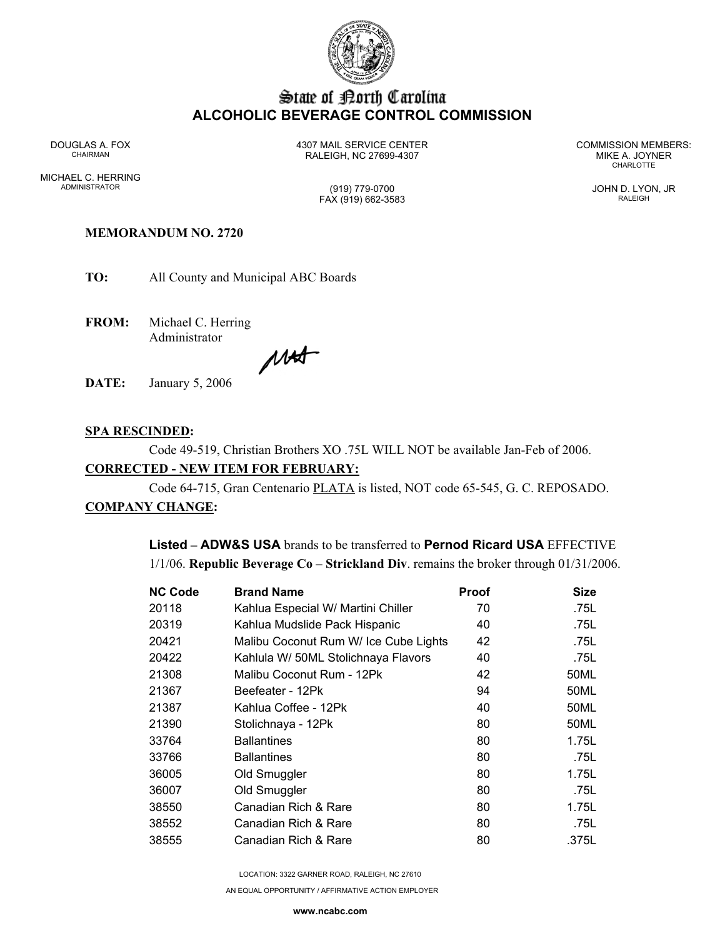

# State of Borth Carolina **ALCOHOLIC BEVERAGE CONTROL COMMISSION**

MICHAEL C. HERRING ADMINISTRATOR (919) 779-0700 JOHN D. LYON, JR

DOUGLAS A. FOX 4307 MAIL SERVICE CENTER COMMISSION MEMBERS: CHAIRMAN RALEIGH, NC 27699-4307 MIKE A. JOYNER

**CHARLOTTE** 

# FAX (919) 662-3583 RALEIGH

## **MEMORANDUM NO. 2720**

**TO:** All County and Municipal ABC Boards

**FROM:** Michael C. Herring Administrator

MAS

**DATE:** January 5, 2006

## **SPA RESCINDED:**

Code 49-519, Christian Brothers XO .75L WILL NOT be available Jan-Feb of 2006.

## **CORRECTED - NEW ITEM FOR FEBRUARY:**

Code 64-715, Gran Centenario PLATA is listed, NOT code 65-545, G. C. REPOSADO.

## **COMPANY CHANGE:**

**Listed – ADW&S USA** brands to be transferred to **Pernod Ricard USA** EFFECTIVE 1/1/06. **Republic Beverage Co – Strickland Div**. remains the broker through 01/31/2006.

| <b>NC Code</b> | <b>Brand Name</b>                     | Proof | <b>Size</b> |
|----------------|---------------------------------------|-------|-------------|
| 20118          | Kahlua Especial W/ Martini Chiller    | 70    | .75L        |
| 20319          | Kahlua Mudslide Pack Hispanic         | 40    | .75L        |
| 20421          | Malibu Coconut Rum W/ Ice Cube Lights | 42    | .75L        |
| 20422          | Kahlula W/ 50ML Stolichnaya Flavors   | 40    | .75L        |
| 21308          | Malibu Coconut Rum - 12Pk             | 42    | 50ML        |
| 21367          | Beefeater - 12Pk                      | 94    | 50ML        |
| 21387          | Kahlua Coffee - 12Pk                  | 40    | 50ML        |
| 21390          | Stolichnaya - 12Pk                    | 80    | 50ML        |
| 33764          | <b>Ballantines</b>                    | 80    | 1.75L       |
| 33766          | <b>Ballantines</b>                    | 80    | .75L        |
| 36005          | Old Smuggler                          | 80    | 1.75L       |
| 36007          | Old Smuggler                          | 80    | .75L        |
| 38550          | Canadian Rich & Rare                  | 80    | 1.75L       |
| 38552          | Canadian Rich & Rare                  | 80    | .75L        |
| 38555          | Canadian Rich & Rare                  | 80    | .375L       |
|                |                                       |       |             |

LOCATION: 3322 GARNER ROAD, RALEIGH, NC 27610

AN EQUAL OPPORTUNITY / AFFIRMATIVE ACTION EMPLOYER

**www.ncabc.com**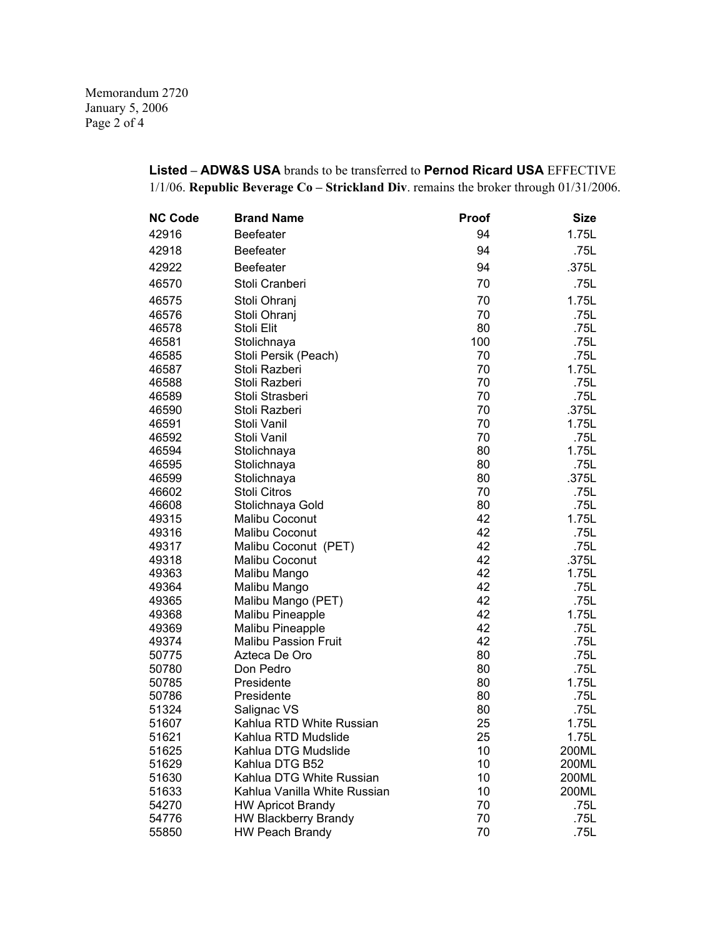Memorandum 2720 January 5, 2006 Page 2 of 4

## **Listed – ADW&S USA** brands to be transferred to **Pernod Ricard USA** EFFECTIVE 1/1/06. **Republic Beverage Co – Strickland Div**. remains the broker through 01/31/2006.

| <b>NC Code</b> | <b>Brand Name</b>            | <b>Proof</b> | <b>Size</b> |
|----------------|------------------------------|--------------|-------------|
| 42916          | <b>Beefeater</b>             | 94           | 1.75L       |
| 42918          | <b>Beefeater</b>             | 94           | .75L        |
| 42922          | <b>Beefeater</b>             | 94           | .375L       |
| 46570          | Stoli Cranberi               | 70           | .75L        |
| 46575          | Stoli Ohranj                 | 70           | 1.75L       |
| 46576          | Stoli Ohranj                 | 70           | .75L        |
| 46578          | Stoli Elit                   | 80           | .75L        |
| 46581          | Stolichnaya                  | 100          | .75L        |
| 46585          | Stoli Persik (Peach)         | 70           | .75L        |
| 46587          | Stoli Razberi                | 70           | 1.75L       |
| 46588          | Stoli Razberi                | 70           | .75L        |
| 46589          | Stoli Strasberi              | 70           | .75L        |
| 46590          | Stoli Razberi                | 70           | .375L       |
| 46591          | Stoli Vanil                  | 70           | 1.75L       |
| 46592          | Stoli Vanil                  | 70           | .75L        |
| 46594          | Stolichnaya                  | 80           | 1.75L       |
| 46595          | Stolichnaya                  | 80           | .75L        |
| 46599          | Stolichnaya                  | 80           | .375L       |
| 46602          | Stoli Citros                 | 70           | .75L        |
| 46608          | Stolichnaya Gold             | 80           | .75L        |
| 49315          | Malibu Coconut               | 42           | 1.75L       |
| 49316          | Malibu Coconut               | 42           | .75L        |
| 49317          | Malibu Coconut (PET)         | 42           | .75L        |
| 49318          | Malibu Coconut               | 42           | .375L       |
| 49363          | Malibu Mango                 | 42           | 1.75L       |
| 49364          | Malibu Mango                 | 42           | .75L        |
| 49365          | Malibu Mango (PET)           | 42           | .75L        |
| 49368          | <b>Malibu Pineapple</b>      | 42           | 1.75L       |
| 49369          | <b>Malibu Pineapple</b>      | 42           | .75L        |
| 49374          | <b>Malibu Passion Fruit</b>  | 42           | .75L        |
| 50775          | Azteca De Oro                | 80           | .75L        |
| 50780          | Don Pedro                    | 80           | .75L        |
| 50785          | Presidente                   | 80           | 1.75L       |
| 50786          | Presidente                   | 80           | .75L        |
| 51324          | Salignac VS                  | 80           | .75L        |
| 51607          | Kahlua RTD White Russian     | 25           | 1.75L       |
| 51621          | Kahlua RTD Mudslide          | 25           | 1.75L       |
| 51625          | Kahlua DTG Mudslide          | 10           | 200ML       |
| 51629          | Kahlua DTG B52               | 10           | 200ML       |
| 51630          | Kahlua DTG White Russian     | 10           | 200ML       |
| 51633          | Kahlua Vanilla White Russian | 10           | 200ML       |
| 54270          | <b>HW Apricot Brandy</b>     | 70           | .75L        |
| 54776          | <b>HW Blackberry Brandy</b>  | 70           | .75L        |
| 55850          | <b>HW Peach Brandy</b>       | 70           | .75L        |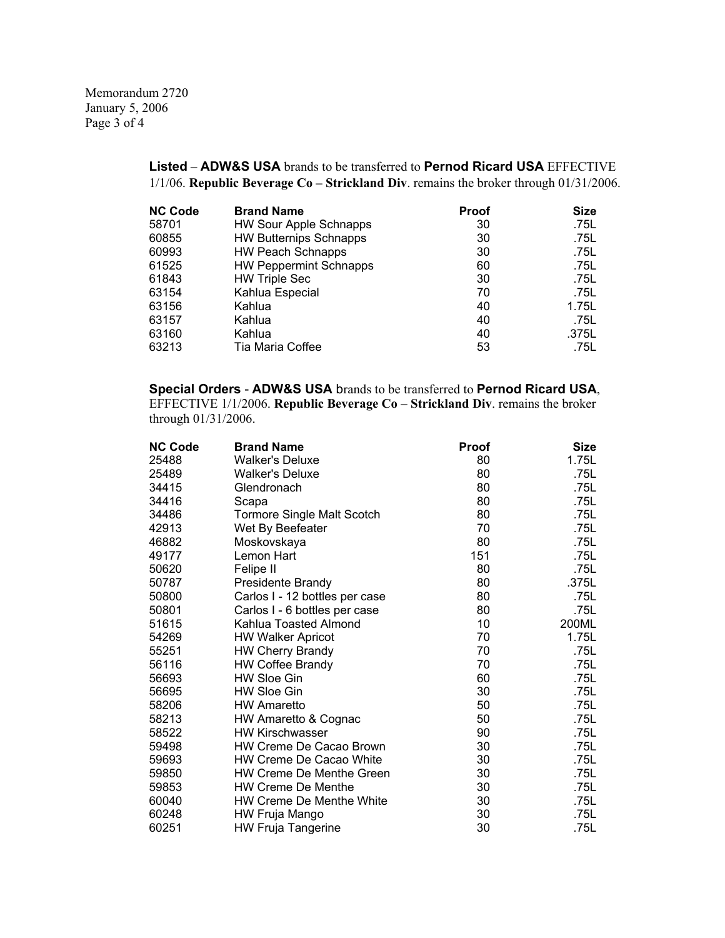Memorandum 2720 January 5, 2006 Page 3 of 4

## **Listed – ADW&S USA** brands to be transferred to **Pernod Ricard USA** EFFECTIVE 1/1/06. **Republic Beverage Co – Strickland Div**. remains the broker through 01/31/2006.

| <b>NC Code</b> | <b>Brand Name</b>             | Proof | <b>Size</b> |
|----------------|-------------------------------|-------|-------------|
| 58701          | <b>HW Sour Apple Schnapps</b> | 30    | .75L        |
| 60855          | <b>HW Butternips Schnapps</b> | 30    | .75L        |
| 60993          | <b>HW Peach Schnapps</b>      | 30    | .75L        |
| 61525          | <b>HW Peppermint Schnapps</b> | 60    | .75L        |
| 61843          | <b>HW Triple Sec</b>          | 30    | .75L        |
| 63154          | Kahlua Especial               | 70    | .75L        |
| 63156          | Kahlua                        | 40    | 1.75L       |
| 63157          | Kahlua                        | 40    | .75L        |
| 63160          | Kahlua                        | 40    | .375L       |
| 63213          | Tia Maria Coffee              | 53    | .75L        |
|                |                               |       |             |

**Special Orders** - **ADW&S USA** brands to be transferred to **Pernod Ricard USA**, EFFECTIVE 1/1/2006. **Republic Beverage Co – Strickland Div**. remains the broker through 01/31/2006.

| <b>NC Code</b> | <b>Brand Name</b>               | Proof | <b>Size</b> |
|----------------|---------------------------------|-------|-------------|
| 25488          | <b>Walker's Deluxe</b>          | 80    | 1.75L       |
| 25489          | <b>Walker's Deluxe</b>          | 80    | .75L        |
| 34415          | Glendronach                     | 80    | .75L        |
| 34416          | Scapa                           | 80    | .75L        |
| 34486          | Tormore Single Malt Scotch      | 80    | .75L        |
| 42913          | Wet By Beefeater                | 70    | .75L        |
| 46882          | Moskovskaya                     | 80    | .75L        |
| 49177          | Lemon Hart                      | 151   | .75L        |
| 50620          | Felipe II                       | 80    | .75L        |
| 50787          | Presidente Brandy               | 80    | .375L       |
| 50800          | Carlos I - 12 bottles per case  | 80    | .75L        |
| 50801          | Carlos I - 6 bottles per case   | 80    | .75L        |
| 51615          | Kahlua Toasted Almond           | 10    | 200ML       |
| 54269          | <b>HW Walker Apricot</b>        | 70    | 1.75L       |
| 55251          | <b>HW Cherry Brandy</b>         | 70    | .75L        |
| 56116          | <b>HW Coffee Brandy</b>         | 70    | .75L        |
| 56693          | <b>HW Sloe Gin</b>              | 60    | .75L        |
| 56695          | <b>HW Sloe Gin</b>              | 30    | .75L        |
| 58206          | <b>HW Amaretto</b>              | 50    | .75L        |
| 58213          | HW Amaretto & Cognac            | 50    | .75L        |
| 58522          | <b>HW Kirschwasser</b>          | 90    | .75L        |
| 59498          | HW Creme De Cacao Brown         | 30    | .75L        |
| 59693          | HW Creme De Cacao White         | 30    | .75L        |
| 59850          | <b>HW Creme De Menthe Green</b> | 30    | .75L        |
| 59853          | <b>HW Creme De Menthe</b>       | 30    | .75L        |
| 60040          | <b>HW Creme De Menthe White</b> | 30    | .75L        |
| 60248          | HW Fruja Mango                  | 30    | .75L        |
| 60251          | <b>HW Fruja Tangerine</b>       | 30    | .75L        |